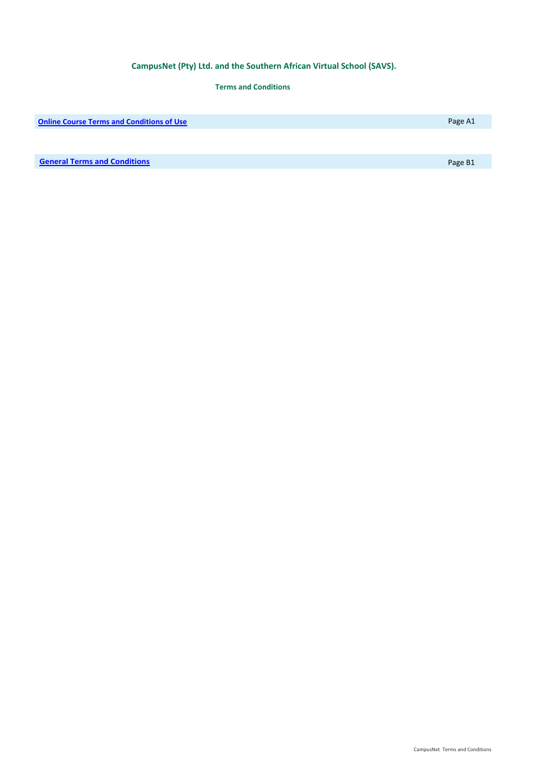# **CampusNet (Pty) Ltd. and the Southern African Virtual School (SAVS).**

# **Terms and Conditions**

**Contine Course Terms and Conditions of Use Page A1 Conditions of Use Page A1 Page A1** 

**[General Terms and Condition](#page-3-0)s Page B1**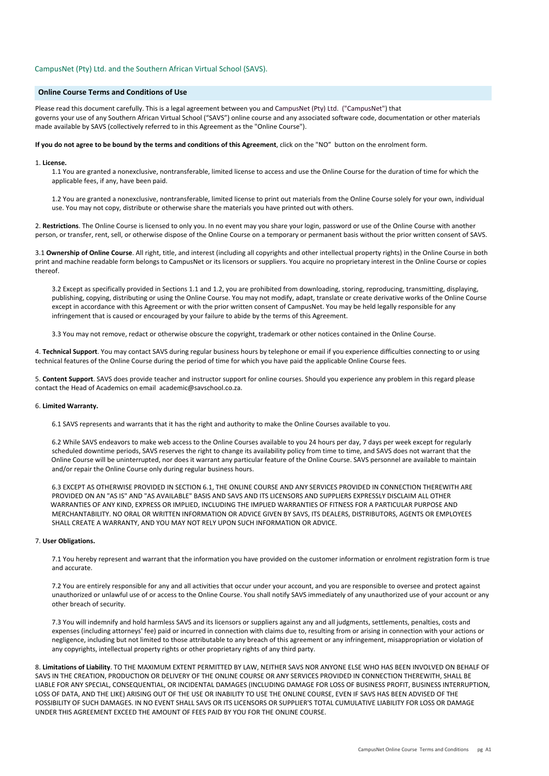# <span id="page-1-0"></span>CampusNet (Pty) Ltd. and the Southern African Virtual School (SAVS).

# **Online Course Terms and Conditions of Use**

Please read this document carefully. This is a legal agreement between you and CampusNet (Pty) Ltd. ("CampusNet") that governs your use of any Southern African Virtual School ("SAVS") online course and any associated software code, documentation or other materials made available by SAVS (collectively referred to in this Agreement as the "Online Course").

**If you do not agree to be bound by the terms and conditions of this Agreement**, click on the "NO" button on the enrolment form.

#### 1. **License.**

1.1 You are granted a nonexclusive, nontransferable, limited license to access and use the Online Course for the duration of time for which the applicable fees, if any, have been paid.

1.2 You are granted a nonexclusive, nontransferable, limited license to print out materials from the Online Course solely for your own, individual use. You may not copy, distribute or otherwise share the materials you have printed out with others.

2. **Restrictions**. The Online Course is licensed to only you. In no event may you share your login, password or use of the Online Course with another person, or transfer, rent, sell, or otherwise dispose of the Online Course on a temporary or permanent basis without the prior written consent of SAVS.

3.1 **Ownership of Online Course**. All right, title, and interest (including all copyrights and other intellectual property rights) in the Online Course in both print and machine readable form belongs to CampusNet or its licensors or suppliers. You acquire no proprietary interest in the Online Course or copies thereof.

3.2 Except as specifically provided in Sections 1.1 and 1.2, you are prohibited from downloading, storing, reproducing, transmitting, displaying, publishing, copying, distributing or using the Online Course. You may not modify, adapt, translate or create derivative works of the Online Course except in accordance with this Agreement or with the prior written consent of CampusNet. You may be held legally responsible for any infringement that is caused or encouraged by your failure to abide by the terms of this Agreement.

3.3 You may not remove, redact or otherwise obscure the copyright, trademark or other notices contained in the Online Course.

4. **Technical Support**. You may contact SAVS during regular business hours by telephone or email if you experience difficulties connecting to or using technical features of the Online Course during the period of time for which you have paid the applicable Online Course fees.

5. **Content Support**. SAVS does provide teacher and instructor support for online courses. Should you experience any problem in this regard please contact the Head of Academics on email academic@savschool.co.za.

### 6. **Limited Warranty.**

6.1 SAVS represents and warrants that it has the right and authority to make the Online Courses available to you.

6.2 While SAVS endeavors to make web access to the Online Courses available to you 24 hours per day, 7 days per week except for regularly scheduled downtime periods, SAVS reserves the right to change its availability policy from time to time, and SAVS does not warrant that the Online Course will be uninterrupted, nor does it warrant any particular feature of the Online Course. SAVS personnel are available to maintain and/or repair the Online Course only during regular business hours.

6.3 EXCEPT AS OTHERWISE PROVIDED IN SECTION 6.1, THE ONLINE COURSE AND ANY SERVICES PROVIDED IN CONNECTION THEREWITH ARE PROVIDED ON AN "AS IS" AND "AS AVAILABLE" BASIS AND SAVS AND ITS LICENSORS AND SUPPLIERS EXPRESSLY DISCLAIM ALL OTHER WARRANTIES OF ANY KIND, EXPRESS OR IMPLIED, INCLUDING THE IMPLIED WARRANTIES OF FITNESS FOR A PARTICULAR PURPOSE AND MERCHANTABILITY. NO ORAL OR WRITTEN INFORMATION OR ADVICE GIVEN BY SAVS, ITS DEALERS, DISTRIBUTORS, AGENTS OR EMPLOYEES SHALL CREATE A WARRANTY, AND YOU MAY NOT RELY UPON SUCH INFORMATION OR ADVICE.

# 7. **User Obligations.**

7.1 You hereby represent and warrant that the information you have provided on the customer information or enrolment registration form is true and accurate.

7.2 You are entirely responsible for any and all activities that occur under your account, and you are responsible to oversee and protect against unauthorized or unlawful use of or access to the Online Course. You shall notify SAVS immediately of any unauthorized use of your account or any other breach of security.

7.3 You will indemnify and hold harmless SAVS and its licensors or suppliers against any and all judgments, settlements, penalties, costs and expenses (including attorneys' fee) paid or incurred in connection with claims due to, resulting from or arising in connection with your actions or negligence, including but not limited to those attributable to any breach of this agreement or any infringement, misappropriation or violation of any copyrights, intellectual property rights or other proprietary rights of any third party.

8. **Limitations of Liability**. TO THE MAXIMUM EXTENT PERMITTED BY LAW, NEITHER SAVS NOR ANYONE ELSE WHO HAS BEEN INVOLVED ON BEHALF OF SAVS IN THE CREATION, PRODUCTION OR DELIVERY OF THE ONLINE COURSE OR ANY SERVICES PROVIDED IN CONNECTION THEREWITH, SHALL BE LIABLE FOR ANY SPECIAL, CONSEQUENTIAL, OR INCIDENTAL DAMAGES (INCLUDING DAMAGE FOR LOSS OF BUSINESS PROFIT, BUSINESS INTERRUPTION, LOSS OF DATA, AND THE LIKE) ARISING OUT OF THE USE OR INABILITY TO USE THE ONLINE COURSE, EVEN IF SAVS HAS BEEN ADVISED OF THE POSSIBILITY OF SUCH DAMAGES. IN NO EVENT SHALL SAVS OR ITS LICENSORS OR SUPPLIER'S TOTAL CUMULATIVE LIABILITY FOR LOSS OR DAMAGE UNDER THIS AGREEMENT EXCEED THE AMOUNT OF FEES PAID BY YOU FOR THE ONLINE COURSE.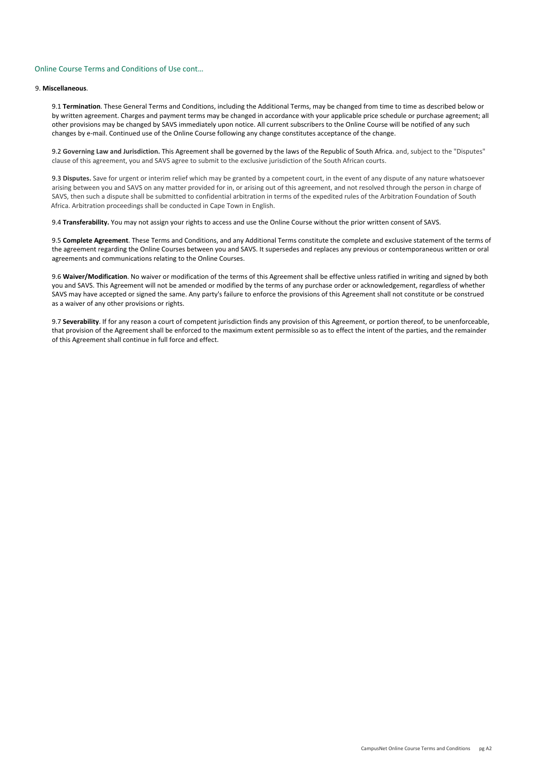# Online Course Terms and Conditions of Use cont…

# 9. **Miscellaneous**.

9.1 **Termination**. These General Terms and Conditions, including the Additional Terms, may be changed from time to time as described below or by written agreement. Charges and payment terms may be changed in accordance with your applicable price schedule or purchase agreement; all other provisions may be changed by SAVS immediately upon notice. All current subscribers to the Online Course will be notified of any such changes by e-mail. Continued use of the Online Course following any change constitutes acceptance of the change.

9.2 **Governing Law and Jurisdiction.** This Agreement shall be governed by the laws of the Republic of South Africa. and, subject to the "Disputes" clause of this agreement, you and SAVS agree to submit to the exclusive jurisdiction of the South African courts.

9.3 **Disputes.** Save for urgent or interim relief which may be granted by a competent court, in the event of any dispute of any nature whatsoever arising between you and SAVS on any matter provided for in, or arising out of this agreement, and not resolved through the person in charge of SAVS, then such a dispute shall be submitted to confidential arbitration in terms of the expedited rules of the Arbitration Foundation of South Africa. Arbitration proceedings shall be conducted in Cape Town in English.

9.4 **Transferability.** You may not assign your rights to access and use the Online Course without the prior written consent of SAVS.

9.5 **Complete Agreement**. These Terms and Conditions, and any Additional Terms constitute the complete and exclusive statement of the terms of the agreement regarding the Online Courses between you and SAVS. It supersedes and replaces any previous or contemporaneous written or oral agreements and communications relating to the Online Courses.

9.6 **Waiver/Modification**. No waiver or modification of the terms of this Agreement shall be effective unless ratified in writing and signed by both you and SAVS. This Agreement will not be amended or modified by the terms of any purchase order or acknowledgement, regardless of whether SAVS may have accepted or signed the same. Any party's failure to enforce the provisions of this Agreement shall not constitute or be construed as a waiver of any other provisions or rights.

9.7 **Severability**. If for any reason a court of competent jurisdiction finds any provision of this Agreement, or portion thereof, to be unenforceable, that provision of the Agreement shall be enforced to the maximum extent permissible so as to effect the intent of the parties, and the remainder of this Agreement shall continue in full force and effect.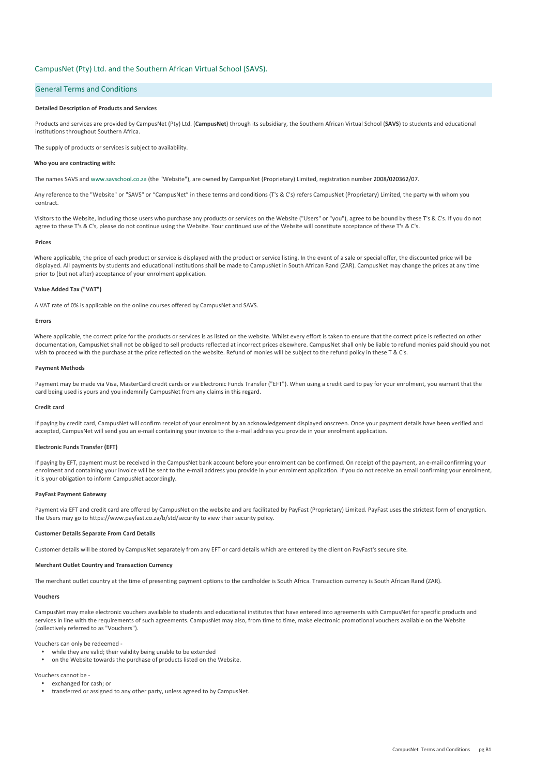# <span id="page-3-0"></span>CampusNet (Pty) Ltd. and the Southern African Virtual School (SAVS).

# General Terms and Conditions

## **Detailed Description of Products and Services**

Products and services are provided by CampusNet (Pty) Ltd. (**CampusNet**) through its subsidiary, the Southern African Virtual School (**SAVS**) to students and educational institutions throughout Southern Africa.

The supply of products or services is subject to availability.

### **Who you are contracting with:**

The names SAVS and www.savschool.co.za (the "Website"), are owned by CampusNet (Proprietary) Limited, registration number 2008/020362/07.

Any reference to the "Website" or "SAVS" or "CampusNet" in these terms and conditions (T's & C's) refers CampusNet (Proprietary) Limited, the party with whom you contract.

Visitors to the Website, including those users who purchase any products or services on the Website ("Users" or "you"), agree to be bound by these T's & C's. If you do not agree to these T's & C's, please do not continue using the Website. Your continued use of the Website will constitute acceptance of these T's & C's.

#### **Prices**

Where applicable, the price of each product or service is displayed with the product or service listing. In the event of a sale or special offer, the discounted price will be displayed. All payments by students and educational institutions shall be made to CampusNet in South African Rand (ZAR). CampusNet may change the prices at any time prior to (but not after) acceptance of your enrolment application.

## **Value Added Tax ("VAT")**

A VAT rate of 0% is applicable on the online courses offered by CampusNet and SAVS.

#### **Errors**

Where applicable, the correct price for the products or services is as listed on the website. Whilst every effort is taken to ensure that the correct price is reflected on other documentation. CampusNet shall not be obliged to sell products reflected at incorrect prices elsewhere. CampusNet shall only be liable to refund monies paid should you not wish to proceed with the purchase at the price reflected on the website. Refund of monies will be subject to the refund policy in these T & C's.

## **Payment Methods**

Payment may be made via Visa, MasterCard credit cards or via Electronic Funds Transfer ("EFT"). When using a credit card to pay for your enrolment, you warrant that the card being used is yours and you indemnify CampusNet from any claims in this regard.

### **Credit card**

If paying by credit card, CampusNet will confirm receipt of your enrolment by an acknowledgement displayed onscreen. Once your payment details have been verified and accepted, CampusNet will send you an e-mail containing your invoice to the e-mail address you provide in your enrolment application.

# **Electronic Funds Transfer (EFT)**

If paying by EFT, payment must be received in the CampusNet bank account before your enrolment can be confirmed. On receipt of the payment, an e-mail confirming your enrolment and containing your invoice will be sent to the e-mail address you provide in your enrolment application. If you do not receive an email confirming your enrolment, it is your obligation to inform CampusNet accordingly.

### **PayFast Payment Gateway**

Payment via EFT and credit card are offered by CampusNet on the website and are facilitated by PayFast (Proprietary) Limited. PayFast uses the strictest form of encryption. The Users may go to https://www.payfast.co.za/b/std/security to view their security policy.

## **Customer Details Separate From Card Details**

Customer details will be stored by CampusNet separately from any EFT or card details which are entered by the client on PayFast's secure site.

#### **Merchant Outlet Country and Transaction Currency**

The merchant outlet country at the time of presenting payment options to the cardholder is South Africa. Transaction currency is South African Rand (ZAR).

#### **Vouchers**

CampusNet may make electronic vouchers available to students and educational institutes that have entered into agreements with CampusNet for specific products and services in line with the requirements of such agreements. CampusNet may also, from time to time, make electronic promotional vouchers available on the Website (collectively referred to as "Vouchers").

Vouchers can only be redeemed -

- while they are valid; their validity being unable to be extended
- on the Website towards the purchase of products listed on the Website.

Vouchers cannot be -

- ü exchanged for cash; or
- transferred or assigned to any other party, unless agreed to by CampusNet.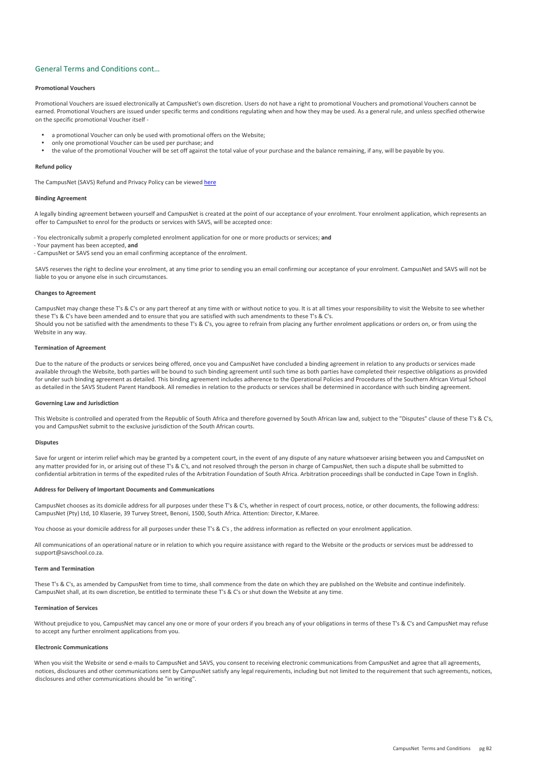## General Terms and Conditions cont…

### **Promotional Vouchers**

Promotional Vouchers are issued electronically at CampusNet's own discretion. Users do not have a right to promotional Vouchers and promotional Vouchers cannot be earned. Promotional Vouchers are issued under specific terms and conditions regulating when and how they may be used. As a general rule, and unless specified otherwise on the specific promotional Voucher itself -

- a promotional Voucher can only be used with promotional offers on the Website:
- ü only one promotional Voucher can be used per purchase; and
- the value of the promotional Voucher will be set off against the total value of your purchase and the balance remaining, if any, will be payable by you.

#### **Refund policy**

The CampusNet (SAVS) Refund and Privacy Policy can be viewed [here](http://www.campusnet.co.za/#!savs-refund-and-privacy-policy/c1k4i)

### **Binding Agreement**

A legally binding agreement between yourself and CampusNet is created at the point of our acceptance of your enrolment. Your enrolment application, which represents an offer to CampusNet to enrol for the products or services with SAVS, will be accepted once:

- You electronically submit a properly completed enrolment application for one or more products or services; **and**

- Your payment has been accepted, **and**
- CampusNet or SAVS send you an email confirming acceptance of the enrolment.

SAVS reserves the right to decline your enrolment, at any time prior to sending you an email confirming our acceptance of your enrolment. CampusNet and SAVS will not be liable to you or anyone else in such circumstances.

#### **Changes to Agreement**

CampusNet may change these T's & C's or any part thereof at any time with or without notice to you. It is at all times your responsibility to visit the Website to see whether these T's & C's have been amended and to ensure that you are satisfied with such amendments to these T's & C's. Should you not be satisfied with the amendments to these T's & C's, you agree to refrain from placing any further enrolment applications or orders on, or from using the Website in any way.

#### **Termination of Agreement**

Due to the nature of the products or services being offered, once you and CampusNet have concluded a binding agreement in relation to any products or services made available through the Website, both parties will be bound to such binding agreement until such time as both parties have completed their respective obligations as provided for under such binding agreement as detailed. This binding agreement includes adherence to the Operational Policies and Procedures of the Southern African Virtual School as detailed in the SAVS Student Parent Handbook. All remedies in relation to the products or services shall be determined in accordance with such binding agreement.

### **Governing Law and Jurisdiction**

This Website is controlled and operated from the Republic of South Africa and therefore governed by South African law and, subject to the "Disputes" clause of these T's & C's, you and CampusNet submit to the exclusive jurisdiction of the South African courts.

#### **Disputes**

Save for urgent or interim relief which may be granted by a competent court, in the event of any dispute of any nature whatsoever arising between you and CampusNet on any matter provided for in, or arising out of these T's & C's, and not resolved through the person in charge of CampusNet, then such a dispute shall be submitted to confidential arbitration in terms of the expedited rules of the Arbitration Foundation of South Africa. Arbitration proceedings shall be conducted in Cape Town in English.

#### **Address for Delivery of Important Documents and Communications**

CampusNet chooses as its domicile address for all purposes under these T's & C's, whether in respect of court process, notice, or other documents, the following address: CampusNet (Pty) Ltd, 10 Klaserie, 39 Turvey Street, Benoni, 1500, South Africa. Attention: Director, K.Maree.

You choose as your domicile address for all purposes under these T's & C's , the address information as reflected on your enrolment application.

All communications of an operational nature or in relation to which you require assistance with regard to the Website or the products or services must be addressed to support@savschool.co.za.

#### **Term and Termination**

These T's & C's, as amended by CampusNet from time to time, shall commence from the date on which they are published on the Website and continue indefinitely. CampusNet shall, at its own discretion, be entitled to terminate these T's & C's or shut down the Website at any time.

### **Termination of Services**

Without prejudice to you, CampusNet may cancel any one or more of your orders if you breach any of your obligations in terms of these T's & C's and CampusNet may refuse to accept any further enrolment applications from you.

#### **Electronic Communications**

When you visit the Website or send e-mails to CampusNet and SAVS, you consent to receiving electronic communications from CampusNet and agree that all agreements, notices, disclosures and other communications sent by CampusNet satisfy any legal requirements, including but not limited to the requirement that such agreements, notices, disclosures and other communications should be "in writing".